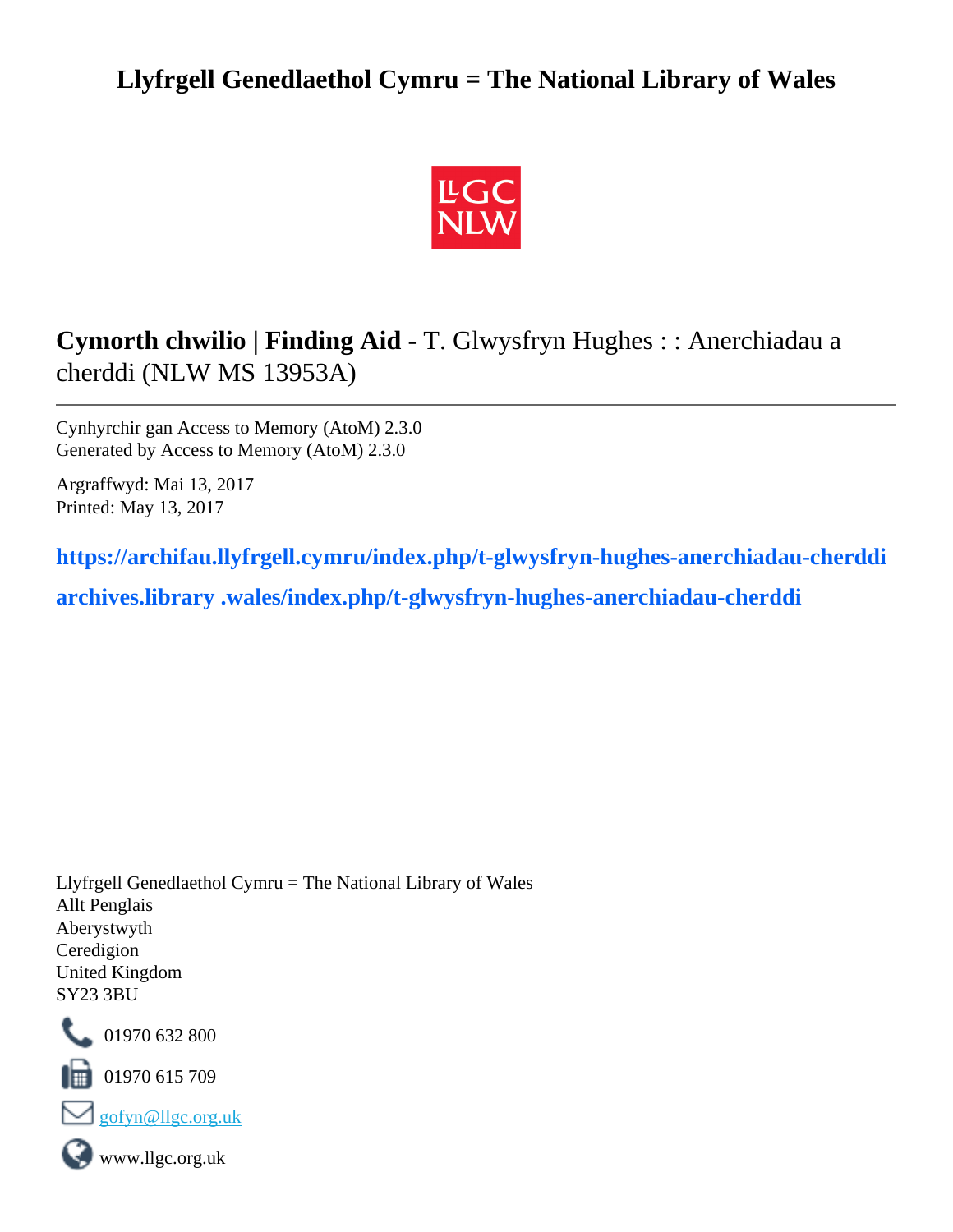## **Llyfrgell Genedlaethol Cymru = The National Library of Wales**



# **Cymorth chwilio | Finding Aid -** T. Glwysfryn Hughes : : Anerchiadau a cherddi (NLW MS 13953A)

Cynhyrchir gan Access to Memory (AtoM) 2.3.0 Generated by Access to Memory (AtoM) 2.3.0

Argraffwyd: Mai 13, 2017 Printed: May 13, 2017

**https://archifau.llyfrgell.cymru/index.php/t-glwysfryn-hughes-anerchiadau-cherddi**

**archives.library .wales/index.php/t-glwysfryn-hughes-anerchiadau-cherddi**

Llyfrgell Genedlaethol Cymru = The National Library of Wales Allt Penglais Aberystwyth Ceredigion United Kingdom SY23 3BU



101970 632 800

 $\blacksquare$  01970 615 709





www.llgc.org.uk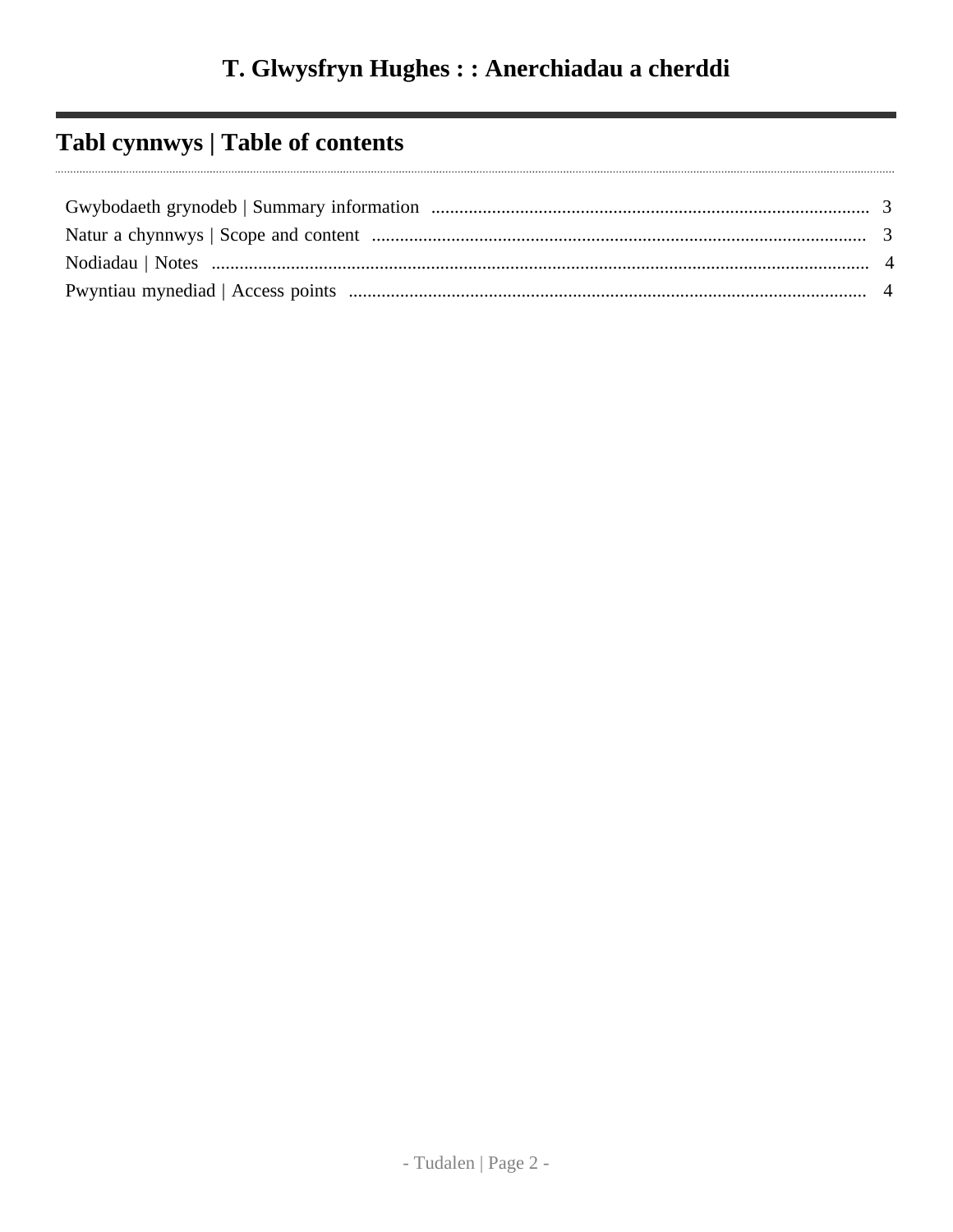# Tabl cynnwys | Table of contents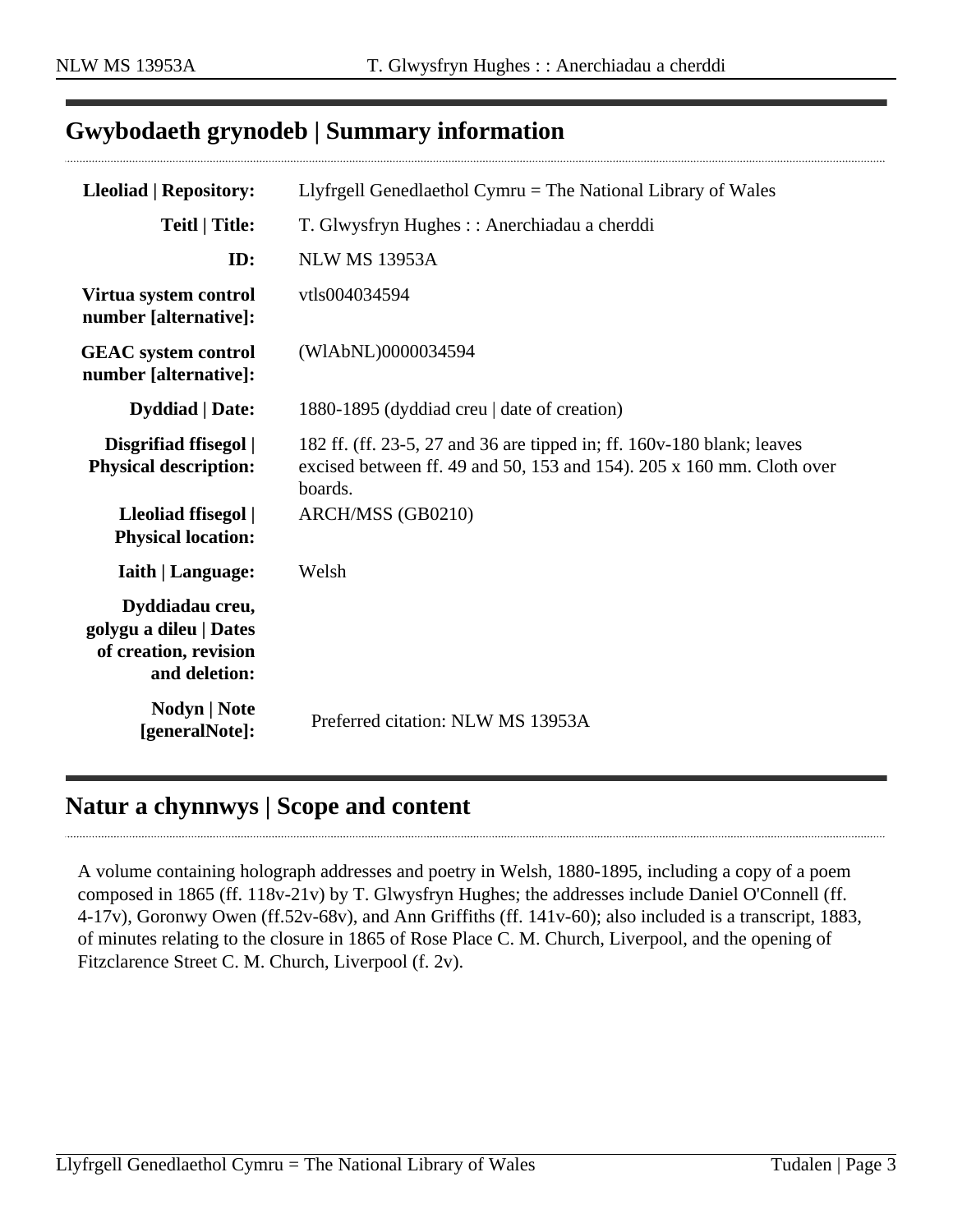#### <span id="page-2-0"></span>**Gwybodaeth grynodeb | Summary information**

| <b>Lleoliad   Repository:</b>                                                       | Llyfrgell Genedlaethol Cymru $=$ The National Library of Wales                                                                                             |
|-------------------------------------------------------------------------------------|------------------------------------------------------------------------------------------------------------------------------------------------------------|
| <b>Teitl   Title:</b>                                                               | T. Glwysfryn Hughes :: Anerchiadau a cherddi                                                                                                               |
| ID:                                                                                 | <b>NLW MS 13953A</b>                                                                                                                                       |
| Virtua system control<br>number [alternative]:                                      | vtls004034594                                                                                                                                              |
| <b>GEAC</b> system control<br>number [alternative]:                                 | (WIAbNL)0000034594                                                                                                                                         |
| <b>Dyddiad</b>   Date:                                                              | 1880-1895 (dyddiad creu   date of creation)                                                                                                                |
| Disgrifiad ffisegol  <br><b>Physical description:</b>                               | 182 ff. (ff. 23-5, 27 and 36 are tipped in; ff. 160y-180 blank; leaves<br>excised between ff. 49 and 50, 153 and 154). 205 x 160 mm. Cloth over<br>boards. |
| Lleoliad ffisegol  <br><b>Physical location:</b>                                    | ARCH/MSS (GB0210)                                                                                                                                          |
| <b>Iaith   Language:</b>                                                            | Welsh                                                                                                                                                      |
| Dyddiadau creu,<br>golygu a dileu   Dates<br>of creation, revision<br>and deletion: |                                                                                                                                                            |
| <b>Nodyn</b>   <b>Note</b><br>[generalNote]:                                        | Preferred citation: NLW MS 13953A                                                                                                                          |

### <span id="page-2-1"></span>**Natur a chynnwys | Scope and content**

A volume containing holograph addresses and poetry in Welsh, 1880-1895, including a copy of a poem composed in 1865 (ff. 118v-21v) by T. Glwysfryn Hughes; the addresses include Daniel O'Connell (ff. 4-17v), Goronwy Owen (ff.52v-68v), and Ann Griffiths (ff. 141v-60); also included is a transcript, 1883, of minutes relating to the closure in 1865 of Rose Place C. M. Church, Liverpool, and the opening of Fitzclarence Street C. M. Church, Liverpool (f. 2v).